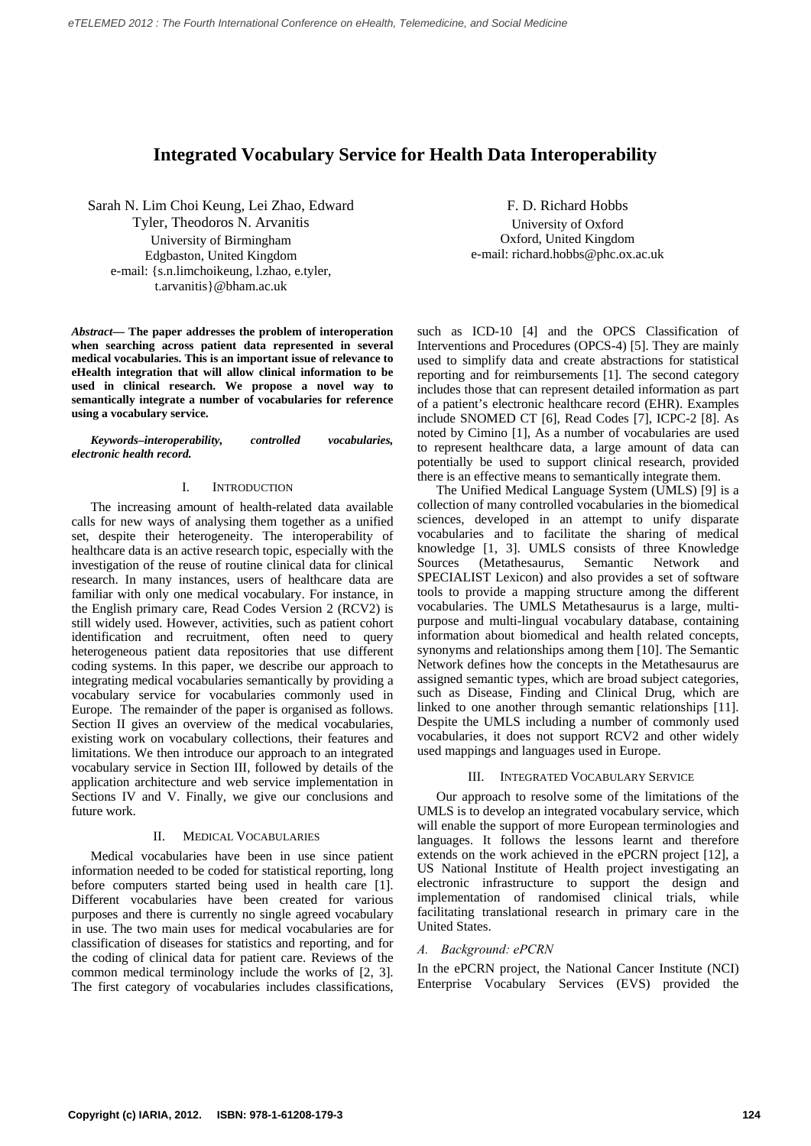# **Integrated Vocabulary Service for Health Data Interoperability**

Sarah N. Lim Choi Keung, Lei Zhao, Edward Tyler, Theodoros N. Arvanitis University of Birmingham Edgbaston, United Kingdom e-mail: {s.n.limchoikeung, l.zhao, e.tyler, t.arvanitis}@bham.ac.uk

*Abstract***— The paper addresses the problem of interoperation when searching across patient data represented in several medical vocabularies. This is an important issue of relevance to eHealth integration that will allow clinical information to be used in clinical research. We propose a novel way to semantically integrate a number of vocabularies for reference using a vocabulary service.** 

*Keywords–interoperability, controlled vocabularies, electronic health record.* 

## I. INTRODUCTION

The increasing amount of health-related data available calls for new ways of analysing them together as a unified set, despite their heterogeneity. The interoperability of healthcare data is an active research topic, especially with the investigation of the reuse of routine clinical data for clinical research. In many instances, users of healthcare data are familiar with only one medical vocabulary. For instance, in the English primary care, Read Codes Version 2 (RCV2) is still widely used. However, activities, such as patient cohort identification and recruitment, often need to query heterogeneous patient data repositories that use different coding systems. In this paper, we describe our approach to integrating medical vocabularies semantically by providing a vocabulary service for vocabularies commonly used in Europe. The remainder of the paper is organised as follows. Section II gives an overview of the medical vocabularies, existing work on vocabulary collections, their features and limitations. We then introduce our approach to an integrated vocabulary service in Section III, followed by details of the application architecture and web service implementation in Sections IV and V. Finally, we give our conclusions and future work.

#### II. MEDICAL VOCABULARIES

Medical vocabularies have been in use since patient information needed to be coded for statistical reporting, long before computers started being used in health care [1]. Different vocabularies have been created for various purposes and there is currently no single agreed vocabulary in use. The two main uses for medical vocabularies are for classification of diseases for statistics and reporting, and for the coding of clinical data for patient care. Reviews of the common medical terminology include the works of [2, 3]. The first category of vocabularies includes classifications,

F. D. Richard Hobbs University of Oxford Oxford, United Kingdom e-mail: richard.hobbs@phc.ox.ac.uk

such as ICD-10 [4] and the OPCS Classification of Interventions and Procedures (OPCS-4) [5]. They are mainly used to simplify data and create abstractions for statistical reporting and for reimbursements [1]. The second category includes those that can represent detailed information as part of a patient's electronic healthcare record (EHR). Examples include SNOMED CT [6], Read Codes [7], ICPC-2 [8]. As noted by Cimino [1], As a number of vocabularies are used to represent healthcare data, a large amount of data can potentially be used to support clinical research, provided there is an effective means to semantically integrate them.

The Unified Medical Language System (UMLS) [9] is a collection of many controlled vocabularies in the biomedical sciences, developed in an attempt to unify disparate vocabularies and to facilitate the sharing of medical knowledge [1, 3]. UMLS consists of three Knowledge Sources (Metathesaurus, Semantic Network and SPECIALIST Lexicon) and also provides a set of software tools to provide a mapping structure among the different vocabularies. The UMLS Metathesaurus is a large, multipurpose and multi-lingual vocabulary database, containing information about biomedical and health related concepts, synonyms and relationships among them [10]. The Semantic Network defines how the concepts in the Metathesaurus are assigned semantic types, which are broad subject categories, such as Disease, Finding and Clinical Drug, which are linked to one another through semantic relationships [11]. Despite the UMLS including a number of commonly used vocabularies, it does not support RCV2 and other widely used mappings and languages used in Europe.

### III. INTEGRATED VOCABULARY SERVICE

Our approach to resolve some of the limitations of the UMLS is to develop an integrated vocabulary service, which will enable the support of more European terminologies and languages. It follows the lessons learnt and therefore extends on the work achieved in the ePCRN project [12], a US National Institute of Health project investigating an electronic infrastructure to support the design and implementation of randomised clinical trials, while facilitating translational research in primary care in the United States.

# *A. Background: ePCRN*

In the ePCRN project, the National Cancer Institute (NCI) Enterprise Vocabulary Services (EVS) provided the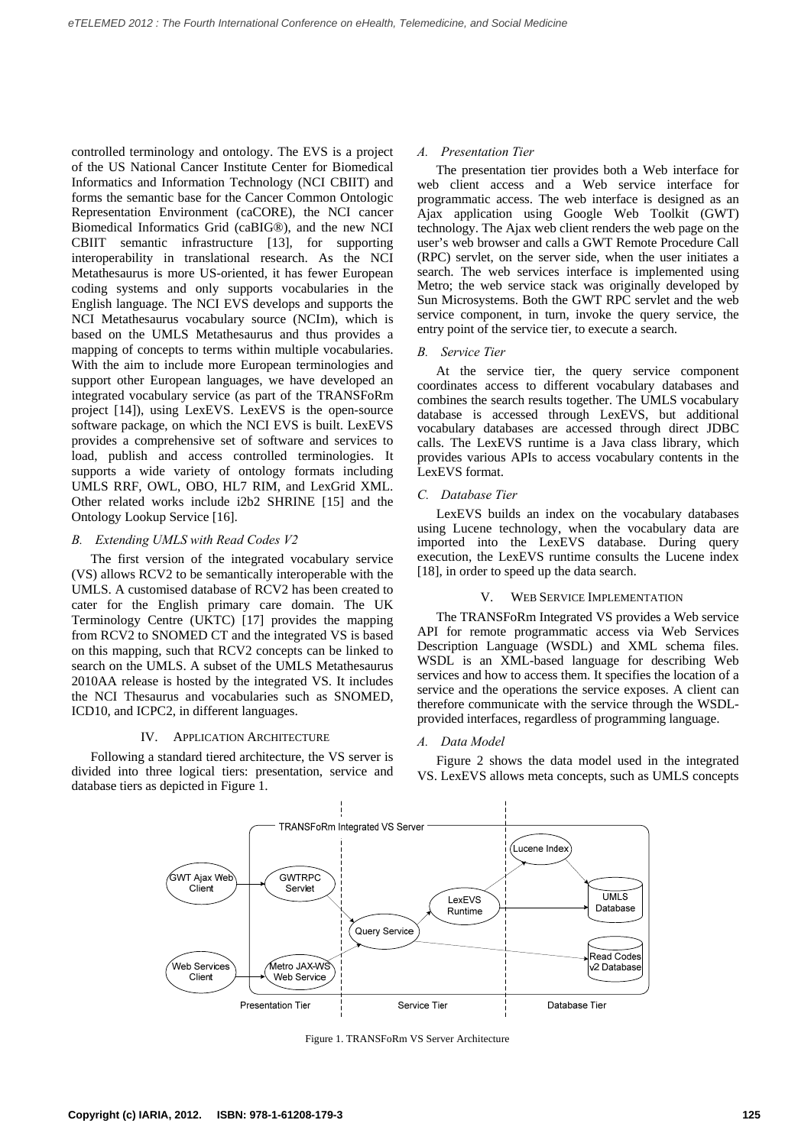controlled terminology and ontology. The EVS is a project of the US National Cancer Institute Center for Biomedical Informatics and Information Technology (NCI CBIIT) and forms the semantic base for the Cancer Common Ontologic Representation Environment (caCORE), the NCI cancer Biomedical Informatics Grid (caBIG®), and the new NCI CBIIT semantic infrastructure [13], for supporting interoperability in translational research. As the NCI Metathesaurus is more US-oriented, it has fewer European coding systems and only supports vocabularies in the English language. The NCI EVS develops and supports the NCI Metathesaurus vocabulary source (NCIm), which is based on the UMLS Metathesaurus and thus provides a mapping of concepts to terms within multiple vocabularies. With the aim to include more European terminologies and support other European languages, we have developed an integrated vocabulary service (as part of the TRANSFoRm project [14]), using LexEVS. LexEVS is the open-source software package, on which the NCI EVS is built. LexEVS provides a comprehensive set of software and services to load, publish and access controlled terminologies. It supports a wide variety of ontology formats including UMLS RRF, OWL, OBO, HL7 RIM, and LexGrid XML. Other related works include i2b2 SHRINE [15] and the Ontology Lookup Service [16].

## *B. Extending UMLS with Read Codes V2*

The first version of the integrated vocabulary service (VS) allows RCV2 to be semantically interoperable with the UMLS. A customised database of RCV2 has been created to cater for the English primary care domain. The UK Terminology Centre (UKTC) [17] provides the mapping from RCV2 to SNOMED CT and the integrated VS is based on this mapping, such that RCV2 concepts can be linked to search on the UMLS. A subset of the UMLS Metathesaurus 2010AA release is hosted by the integrated VS. It includes the NCI Thesaurus and vocabularies such as SNOMED, ICD10, and ICPC2, in different languages.

## IV. APPLICATION ARCHITECTURE

Following a standard tiered architecture, the VS server is divided into three logical tiers: presentation, service and database tiers as depicted in Figure 1.

## *A. Presentation Tier*

The presentation tier provides both a Web interface for web client access and a Web service interface for programmatic access. The web interface is designed as an Ajax application using Google Web Toolkit (GWT) technology. The Ajax web client renders the web page on the user's web browser and calls a GWT Remote Procedure Call (RPC) servlet, on the server side, when the user initiates a search. The web services interface is implemented using Metro; the web service stack was originally developed by Sun Microsystems. Both the GWT RPC servlet and the web service component, in turn, invoke the query service, the entry point of the service tier, to execute a search.

# *B. Service Tier*

At the service tier, the query service component coordinates access to different vocabulary databases and combines the search results together. The UMLS vocabulary database is accessed through LexEVS, but additional vocabulary databases are accessed through direct JDBC calls. The LexEVS runtime is a Java class library, which provides various APIs to access vocabulary contents in the LexEVS format.

## *C. Database Tier*

LexEVS builds an index on the vocabulary databases using Lucene technology, when the vocabulary data are imported into the LexEVS database. During query execution, the LexEVS runtime consults the Lucene index [18], in order to speed up the data search.

## V. WEB SERVICE IMPLEMENTATION

The TRANSFoRm Integrated VS provides a Web service API for remote programmatic access via Web Services Description Language (WSDL) and XML schema files. WSDL is an XML-based language for describing Web services and how to access them. It specifies the location of a service and the operations the service exposes. A client can therefore communicate with the service through the WSDLprovided interfaces, regardless of programming language.

## *A. Data Model*

Figure 2 shows the data model used in the integrated VS. LexEVS allows meta concepts, such as UMLS concepts



Figure 1. TRANSFoRm VS Server Architecture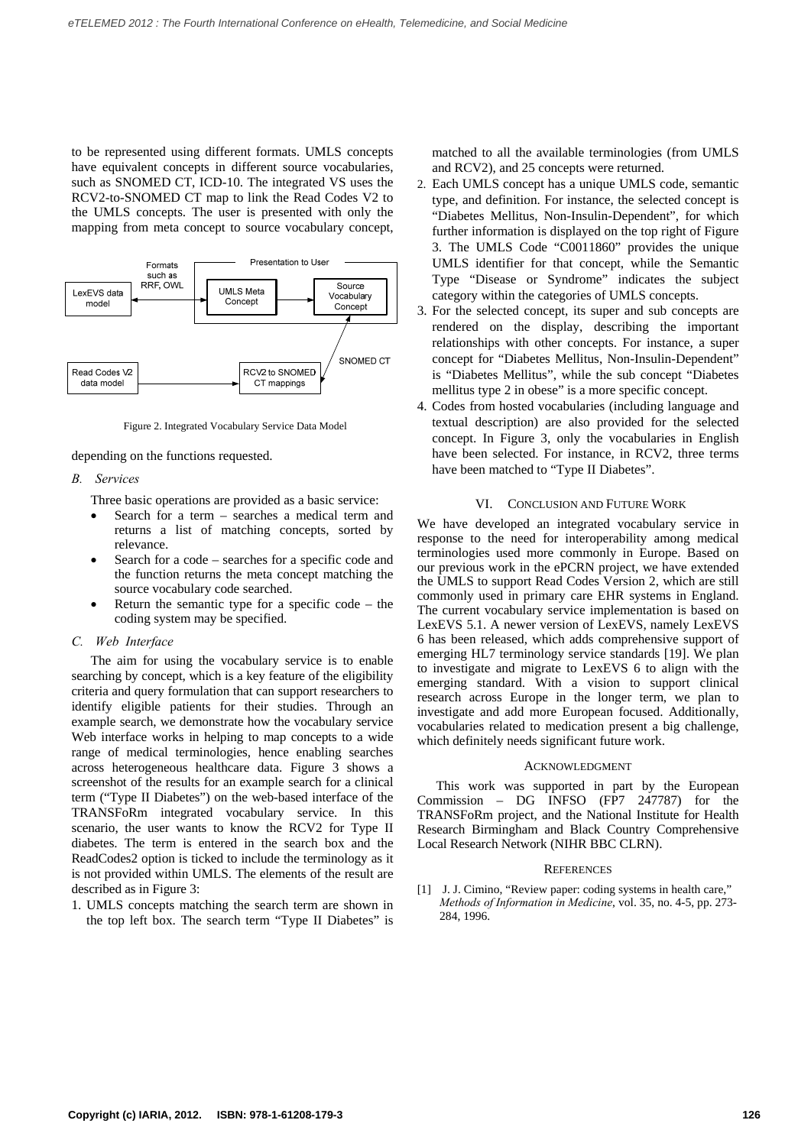to be represented using different formats. UMLS concepts have equivalent concepts in different source vocabularies, such as SNOMED CT, ICD-10. The integrated VS uses the RCV2-to-SNOMED CT map to link the Read Codes V2 to the UMLS concepts. The user is presented with only the mapping from meta concept to source vocabulary concept,



Figure 2. Integrated Vocabulary Service Data Model

depending on the functions requested.

#### *B. Services*

Three basic operations are provided as a basic service:

- Search for a term searches a medical term and returns a list of matching concepts, sorted by relevance.
- Search for a code searches for a specific code and the function returns the meta concept matching the source vocabulary code searched.
- Return the semantic type for a specific code the coding system may be specified.

## *C. Web Interface*

The aim for using the vocabulary service is to enable searching by concept, which is a key feature of the eligibility criteria and query formulation that can support researchers to identify eligible patients for their studies. Through an example search, we demonstrate how the vocabulary service Web interface works in helping to map concepts to a wide range of medical terminologies, hence enabling searches across heterogeneous healthcare data. Figure 3 shows a screenshot of the results for an example search for a clinical term ("Type II Diabetes") on the web-based interface of the TRANSFoRm integrated vocabulary service. In this scenario, the user wants to know the RCV2 for Type II diabetes. The term is entered in the search box and the ReadCodes2 option is ticked to include the terminology as it is not provided within UMLS. The elements of the result are described as in Figure 3:

1. UMLS concepts matching the search term are shown in the top left box. The search term "Type II Diabetes" is matched to all the available terminologies (from UMLS and RCV2), and 25 concepts were returned.

- 2. Each UMLS concept has a unique UMLS code, semantic type, and definition. For instance, the selected concept is "Diabetes Mellitus, Non-Insulin-Dependent", for which further information is displayed on the top right of Figure 3. The UMLS Code "C0011860" provides the unique UMLS identifier for that concept, while the Semantic Type "Disease or Syndrome" indicates the subject category within the categories of UMLS concepts.
- 3. For the selected concept, its super and sub concepts are rendered on the display, describing the important relationships with other concepts. For instance, a super concept for "Diabetes Mellitus, Non-Insulin-Dependent" is "Diabetes Mellitus", while the sub concept "Diabetes mellitus type 2 in obese" is a more specific concept.
- 4. Codes from hosted vocabularies (including language and textual description) are also provided for the selected concept. In Figure 3, only the vocabularies in English have been selected. For instance, in RCV2, three terms have been matched to "Type II Diabetes".

#### VI. CONCLUSION AND FUTURE WORK

We have developed an integrated vocabulary service in response to the need for interoperability among medical terminologies used more commonly in Europe. Based on our previous work in the ePCRN project, we have extended the UMLS to support Read Codes Version 2, which are still commonly used in primary care EHR systems in England. The current vocabulary service implementation is based on LexEVS 5.1. A newer version of LexEVS, namely LexEVS 6 has been released, which adds comprehensive support of emerging HL7 terminology service standards [19]. We plan to investigate and migrate to LexEVS 6 to align with the emerging standard. With a vision to support clinical research across Europe in the longer term, we plan to investigate and add more European focused. Additionally, vocabularies related to medication present a big challenge, which definitely needs significant future work.

#### ACKNOWLEDGMENT

This work was supported in part by the European Commission – DG INFSO (FP7 247787) for the TRANSFoRm project, and the National Institute for Health Research Birmingham and Black Country Comprehensive Local Research Network (NIHR BBC CLRN).

# **REFERENCES**

[1] J. J. Cimino, "Review paper: coding systems in health care," *Methods of Information in Medicine*, vol. 35, no. 4-5, pp. 273- 284, 1996.